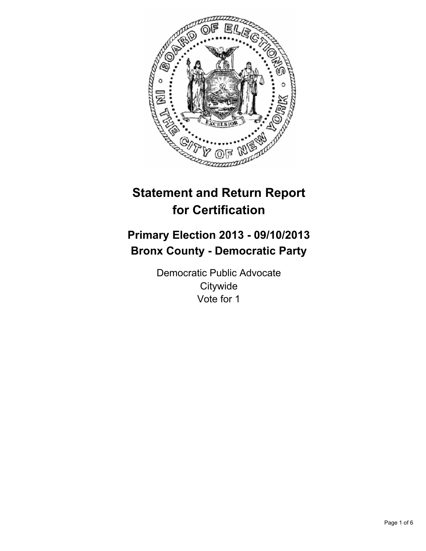

# **Statement and Return Report for Certification**

## **Primary Election 2013 - 09/10/2013 Bronx County - Democratic Party**

Democratic Public Advocate **Citywide** Vote for 1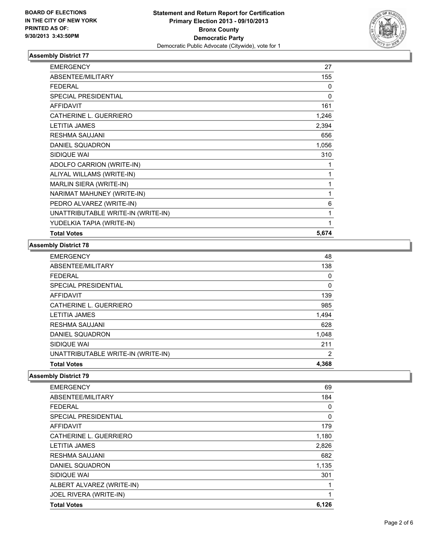

| <b>EMERGENCY</b>                   | 27           |
|------------------------------------|--------------|
| ABSENTEE/MILITARY                  | 155          |
| <b>FEDERAL</b>                     | 0            |
| <b>SPECIAL PRESIDENTIAL</b>        | 0            |
| <b>AFFIDAVIT</b>                   | 161          |
| CATHERINE L. GUERRIERO             | 1,246        |
| <b>LETITIA JAMES</b>               | 2,394        |
| <b>RESHMA SAUJANI</b>              | 656          |
| DANIEL SQUADRON                    | 1,056        |
| SIDIQUE WAI                        | 310          |
| ADOLFO CARRION (WRITE-IN)          | 1            |
| ALIYAL WILLAMS (WRITE-IN)          | 1            |
| MARLIN SIERA (WRITE-IN)            | 1            |
| NARIMAT MAHUNEY (WRITE-IN)         | 1            |
| PEDRO ALVAREZ (WRITE-IN)           | 6            |
| UNATTRIBUTABLE WRITE-IN (WRITE-IN) | 1            |
| YUDELKIA TAPIA (WRITE-IN)          | $\mathbf{1}$ |
| <b>Total Votes</b>                 | 5,674        |

### **Assembly District 78**

| <b>EMERGENCY</b>                   | 48    |
|------------------------------------|-------|
| ABSENTEE/MILITARY                  | 138   |
| <b>FEDERAL</b>                     | 0     |
| SPECIAL PRESIDENTIAL               | 0     |
| AFFIDAVIT                          | 139   |
| CATHERINE L. GUERRIERO             | 985   |
| <b>LETITIA JAMES</b>               | 1,494 |
| <b>RESHMA SAUJANI</b>              | 628   |
| DANIEL SQUADRON                    | 1,048 |
| SIDIQUE WAI                        | 211   |
| UNATTRIBUTABLE WRITE-IN (WRITE-IN) | 2     |
| <b>Total Votes</b>                 | 4,368 |

| <b>EMERGENCY</b>            | 69    |
|-----------------------------|-------|
| ABSENTEE/MILITARY           | 184   |
| <b>FEDERAL</b>              | 0     |
| <b>SPECIAL PRESIDENTIAL</b> | 0     |
| <b>AFFIDAVIT</b>            | 179   |
| CATHERINE L. GUERRIERO      | 1,180 |
| <b>LETITIA JAMES</b>        | 2,826 |
| <b>RESHMA SAUJANI</b>       | 682   |
| DANIEL SQUADRON             | 1,135 |
| SIDIQUE WAI                 | 301   |
| ALBERT ALVAREZ (WRITE-IN)   |       |
| JOEL RIVERA (WRITE-IN)      | 1     |
| <b>Total Votes</b>          | 6,126 |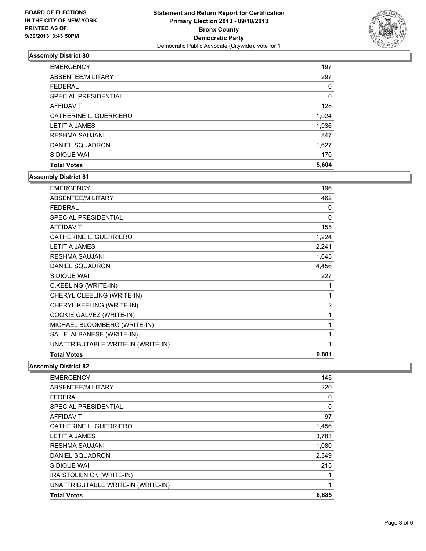

| <b>EMERGENCY</b>       | 197      |
|------------------------|----------|
| ABSENTEE/MILITARY      | 297      |
| <b>FEDERAL</b>         | $\Omega$ |
| SPECIAL PRESIDENTIAL   | 0        |
| AFFIDAVIT              | 128      |
| CATHERINE L. GUERRIERO | 1,024    |
| <b>LETITIA JAMES</b>   | 1,936    |
| <b>RESHMA SAUJANI</b>  | 847      |
| DANIEL SQUADRON        | 1,627    |
| SIDIQUE WAI            | 170      |
| <b>Total Votes</b>     | 5,604    |

### **Assembly District 81**

| <b>EMERGENCY</b>                   | 196            |
|------------------------------------|----------------|
| ABSENTEE/MILITARY                  | 462            |
| <b>FEDERAL</b>                     | 0              |
| SPECIAL PRESIDENTIAL               | $\Omega$       |
| <b>AFFIDAVIT</b>                   | 155            |
| CATHERINE L. GUERRIERO             | 1,224          |
| <b>LETITIA JAMES</b>               | 2,241          |
| <b>RESHMA SAUJANI</b>              | 1,645          |
| DANIEL SQUADRON                    | 4,456          |
| SIDIQUE WAI                        | 227            |
| C.KEELING (WRITE-IN)               |                |
| CHERYL CLEELING (WRITE-IN)         | 1              |
| CHERYL KEELING (WRITE-IN)          | $\overline{2}$ |
| COOKIE GALVEZ (WRITE-IN)           | 1              |
| MICHAEL BLOOMBERG (WRITE-IN)       | 1              |
| SAL F. ALBANESE (WRITE-IN)         | 1              |
| UNATTRIBUTABLE WRITE-IN (WRITE-IN) | 1              |
| <b>Total Votes</b>                 | 9,801          |

| <b>EMERGENCY</b>                   | 145   |
|------------------------------------|-------|
| ABSENTEE/MILITARY                  | 220   |
| <b>FEDERAL</b>                     | 0     |
| SPECIAL PRESIDENTIAL               | 0     |
| AFFIDAVIT                          | 97    |
| CATHERINE L. GUERRIERO             | 1,456 |
| <b>LETITIA JAMES</b>               | 3,783 |
| <b>RESHMA SAUJANI</b>              | 1,080 |
| DANIEL SQUADRON                    | 2,349 |
| SIDIQUE WAI                        | 215   |
| IRA STOLILNICK (WRITE-IN)          |       |
| UNATTRIBUTABLE WRITE-IN (WRITE-IN) | 1     |
| <b>Total Votes</b>                 | 8,885 |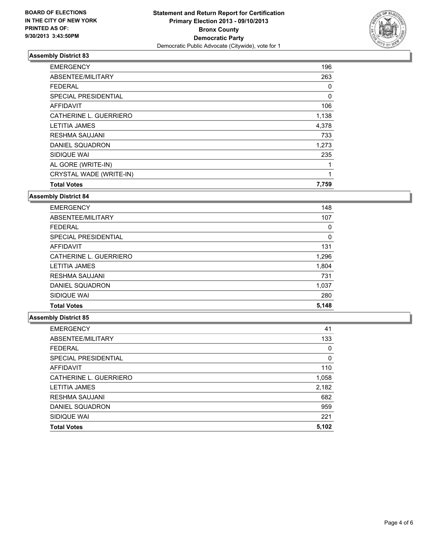

| <b>EMERGENCY</b>        | 196   |
|-------------------------|-------|
| ABSENTEE/MILITARY       | 263   |
| <b>FEDERAL</b>          | 0     |
| SPECIAL PRESIDENTIAL    | 0     |
| <b>AFFIDAVIT</b>        | 106   |
| CATHERINE L. GUERRIERO  | 1,138 |
| <b>LETITIA JAMES</b>    | 4,378 |
| <b>RESHMA SAUJANI</b>   | 733   |
| DANIEL SQUADRON         | 1,273 |
| SIDIQUE WAI             | 235   |
| AL GORE (WRITE-IN)      | 1     |
| CRYSTAL WADE (WRITE-IN) | 1     |
| <b>Total Votes</b>      | 7,759 |

### **Assembly District 84**

| <b>EMERGENCY</b>       | 148   |
|------------------------|-------|
| ABSENTEE/MILITARY      | 107   |
| <b>FEDERAL</b>         | 0     |
| SPECIAL PRESIDENTIAL   | 0     |
| <b>AFFIDAVIT</b>       | 131   |
| CATHERINE L. GUERRIERO | 1,296 |
| <b>LETITIA JAMES</b>   | 1,804 |
| <b>RESHMA SAUJANI</b>  | 731   |
| DANIEL SQUADRON        | 1,037 |
| SIDIQUE WAI            | 280   |
| <b>Total Votes</b>     | 5,148 |

| 41       |
|----------|
| 133      |
| 0        |
| $\Omega$ |
| 110      |
| 1,058    |
| 2,182    |
| 682      |
| 959      |
| 221      |
| 5,102    |
|          |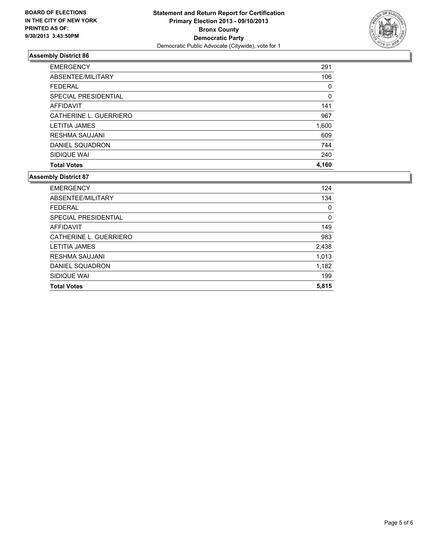

| <b>EMERGENCY</b>       | 291   |
|------------------------|-------|
| ABSENTEE/MILITARY      | 106   |
| <b>FEDERAL</b>         | 0     |
| SPECIAL PRESIDENTIAL   | 0     |
| AFFIDAVIT              | 141   |
| CATHERINE L. GUERRIERO | 967   |
| <b>LETITIA JAMES</b>   | 1,600 |
| <b>RESHMA SAUJANI</b>  | 609   |
| DANIEL SQUADRON        | 744   |
| SIDIQUE WAI            | 240   |
| <b>Total Votes</b>     | 4.160 |

| <b>EMERGENCY</b>       | 124   |
|------------------------|-------|
| ABSENTEE/MILITARY      | 134   |
| <b>FEDERAL</b>         | 0     |
| SPECIAL PRESIDENTIAL   | 0     |
| AFFIDAVIT              | 149   |
| CATHERINE L. GUERRIERO | 983   |
| LETITIA JAMES          | 2,438 |
| RESHMA SAUJANI         | 1,013 |
| DANIEL SQUADRON        | 1,182 |
| SIDIQUE WAI            | 199   |
| <b>Total Votes</b>     | 5,815 |